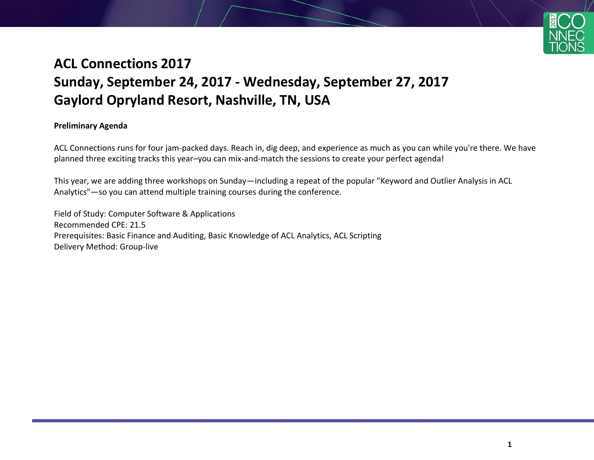

# **ACL Connections 2017 Sunday, September 24, 2017 - Wednesday, September 27, 2017 Gaylord Opryland Resort, Nashville, TN, USA**

#### **Preliminary Agenda**

ACL Connections runs for four jam-packed days. Reach in, dig deep, and experience as much as you can while you're there. We have planned three exciting tracks this year–you can mix-and-match the sessions to create your perfect agenda!

This year, we are adding three workshops on Sunday—including a repeat of the popular "Keyword and Outlier Analysis in ACL Analytics"—so you can attend multiple training courses during the conference.

Field of Study: Computer Software & Applications Recommended CPE: 21.5 Prerequisites: Basic Finance and Auditing, Basic Knowledge of ACL Analytics, ACL Scripting Delivery Method: Group-live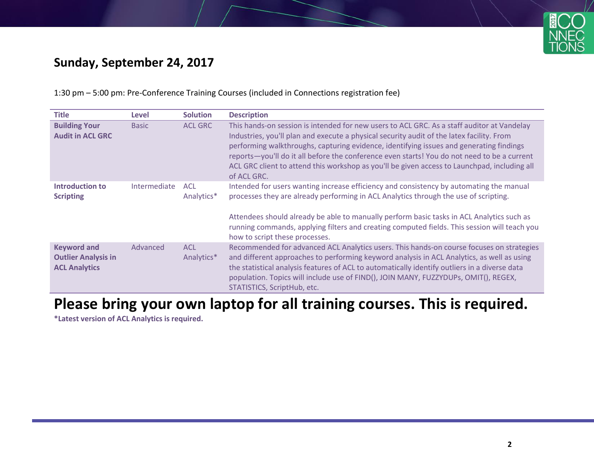

# **Sunday, September 24, 2017**

1:30 pm – 5:00 pm: Pre-Conference Training Courses (included in Connections registration fee)

| <b>Title</b>                                                             | Level        | <b>Solution</b>          | <b>Description</b>                                                                                                                                                                                                                                                                                                                                                                                                                                                                               |
|--------------------------------------------------------------------------|--------------|--------------------------|--------------------------------------------------------------------------------------------------------------------------------------------------------------------------------------------------------------------------------------------------------------------------------------------------------------------------------------------------------------------------------------------------------------------------------------------------------------------------------------------------|
| <b>Building Your</b><br><b>Audit in ACL GRC</b>                          | <b>Basic</b> | <b>ACL GRC</b>           | This hands-on session is intended for new users to ACL GRC. As a staff auditor at Vandelay<br>Industries, you'll plan and execute a physical security audit of the latex facility. From<br>performing walkthroughs, capturing evidence, identifying issues and generating findings<br>reports-you'll do it all before the conference even starts! You do not need to be a current<br>ACL GRC client to attend this workshop as you'll be given access to Launchpad, including all<br>of ACL GRC. |
| <b>Introduction to</b><br><b>Scripting</b>                               | Intermediate | <b>ACL</b><br>Analytics* | Intended for users wanting increase efficiency and consistency by automating the manual<br>processes they are already performing in ACL Analytics through the use of scripting.<br>Attendees should already be able to manually perform basic tasks in ACL Analytics such as<br>running commands, applying filters and creating computed fields. This session will teach you<br>how to script these processes.                                                                                   |
| <b>Keyword and</b><br><b>Outlier Analysis in</b><br><b>ACL Analytics</b> | Advanced     | <b>ACL</b><br>Analytics* | Recommended for advanced ACL Analytics users. This hands-on course focuses on strategies<br>and different approaches to performing keyword analysis in ACL Analytics, as well as using<br>the statistical analysis features of ACL to automatically identify outliers in a diverse data<br>population. Topics will include use of FIND(), JOIN MANY, FUZZYDUPs, OMIT(), REGEX,<br>STATISTICS, ScriptHub, etc.                                                                                    |

# **Please bring your own laptop for all training courses. This is required.**

**\*Latest version of ACL Analytics is required.**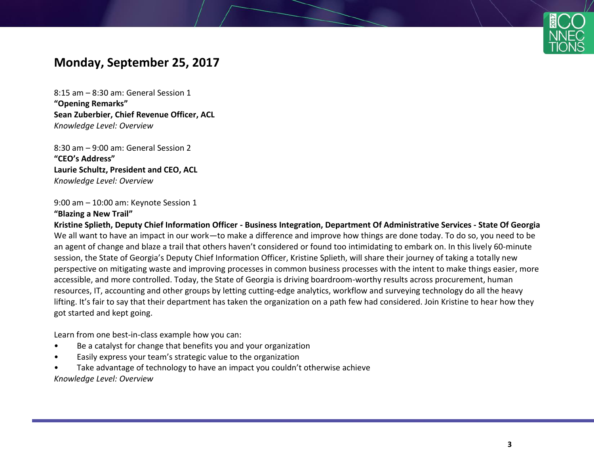

## **Monday, September 25, 2017**

8:15 am – 8:30 am: General Session 1 **"Opening Remarks" Sean Zuberbier, Chief Revenue Officer, ACL** *Knowledge Level: Overview*

8:30 am – 9:00 am: General Session 2 **"CEO's Address" Laurie Schultz, President and CEO, ACL** *Knowledge Level: Overview*

9:00 am – 10:00 am: Keynote Session 1

#### **"Blazing a New Trail"**

**Kristine Splieth, Deputy Chief Information Officer - Business Integration, Department Of Administrative Services - State Of Georgia** We all want to have an impact in our work—to make a difference and improve how things are done today. To do so, you need to be an agent of change and blaze a trail that others haven't considered or found too intimidating to embark on. In this lively 60-minute session, the State of Georgia's Deputy Chief Information Officer, Kristine Splieth, will share their journey of taking a totally new perspective on mitigating waste and improving processes in common business processes with the intent to make things easier, more accessible, and more controlled. Today, the State of Georgia is driving boardroom-worthy results across procurement, human resources, IT, accounting and other groups by letting cutting-edge analytics, workflow and surveying technology do all the heavy lifting. It's fair to say that their department has taken the organization on a path few had considered. Join Kristine to hear how they got started and kept going.

Learn from one best-in-class example how you can:

- Be a catalyst for change that benefits you and your organization
- Easily express your team's strategic value to the organization
- Take advantage of technology to have an impact you couldn't otherwise achieve

*Knowledge Level: Overview*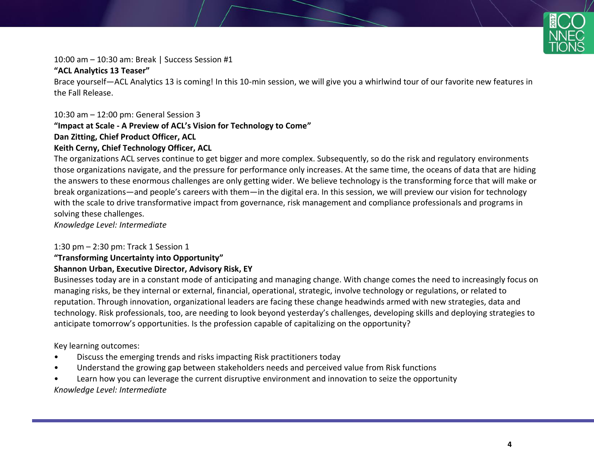

10:00 am – 10:30 am: Break | Success Session #1

#### **"ACL Analytics 13 Teaser"**

Brace yourself—ACL Analytics 13 is coming! In this 10-min session, we will give you a whirlwind tour of our favorite new features in the Fall Release.

#### 10:30 am – 12:00 pm: General Session 3

#### **"Impact at Scale - A Preview of ACL's Vision for Technology to Come"**

#### **Dan Zitting, Chief Product Officer, ACL**

#### **Keith Cerny, Chief Technology Officer, ACL**

The organizations ACL serves continue to get bigger and more complex. Subsequently, so do the risk and regulatory environments those organizations navigate, and the pressure for performance only increases. At the same time, the oceans of data that are hiding the answers to these enormous challenges are only getting wider. We believe technology is the transforming force that will make or break organizations—and people's careers with them—in the digital era. In this session, we will preview our vision for technology with the scale to drive transformative impact from governance, risk management and compliance professionals and programs in solving these challenges.

*Knowledge Level: Intermediate*

#### 1:30 pm – 2:30 pm: Track 1 Session 1

# **"Transforming Uncertainty into Opportunity"**

# **Shannon Urban, Executive Director, Advisory Risk, EY**

Businesses today are in a constant mode of anticipating and managing change. With change comes the need to increasingly focus on managing risks, be they internal or external, financial, operational, strategic, involve technology or regulations, or related to reputation. Through innovation, organizational leaders are facing these change headwinds armed with new strategies, data and technology. Risk professionals, too, are needing to look beyond yesterday's challenges, developing skills and deploying strategies to anticipate tomorrow's opportunities. Is the profession capable of capitalizing on the opportunity?

Key learning outcomes:

- Discuss the emerging trends and risks impacting Risk practitioners today
- Understand the growing gap between stakeholders needs and perceived value from Risk functions
- Learn how you can leverage the current disruptive environment and innovation to seize the opportunity *Knowledge Level: Intermediate*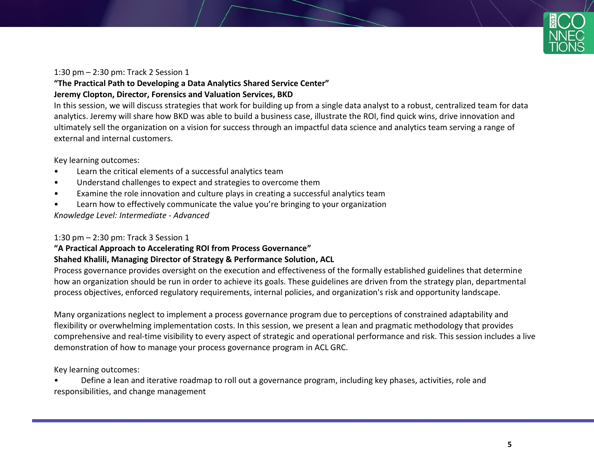

#### 1:30 pm – 2:30 pm: Track 2 Session 1

## **"The Practical Path to Developing a Data Analytics Shared Service Center"**

#### **Jeremy Clopton, Director, Forensics and Valuation Services, BKD**

In this session, we will discuss strategies that work for building up from a single data analyst to a robust, centralized team for data analytics. Jeremy will share how BKD was able to build a business case, illustrate the ROI, find quick wins, drive innovation and ultimately sell the organization on a vision for success through an impactful data science and analytics team serving a range of external and internal customers.

Key learning outcomes:

- Learn the critical elements of a successful analytics team
- Understand challenges to expect and strategies to overcome them
- Examine the role innovation and culture plays in creating a successful analytics team
- Learn how to effectively communicate the value you're bringing to your organization

*Knowledge Level: Intermediate - Advanced*

#### 1:30 pm – 2:30 pm: Track 3 Session 1

#### **"A Practical Approach to Accelerating ROI from Process Governance"**

#### **Shahed Khalili, Managing Director of Strategy & Performance Solution, ACL**

Process governance provides oversight on the execution and effectiveness of the formally established guidelines that determine how an organization should be run in order to achieve its goals. These guidelines are driven from the strategy plan, departmental process objectives, enforced regulatory requirements, internal policies, and organization's risk and opportunity landscape.

Many organizations neglect to implement a process governance program due to perceptions of constrained adaptability and flexibility or overwhelming implementation costs. In this session, we present a lean and pragmatic methodology that provides comprehensive and real-time visibility to every aspect of strategic and operational performance and risk. This session includes a live demonstration of how to manage your process governance program in ACL GRC.

Key learning outcomes:

• Define a lean and iterative roadmap to roll out a governance program, including key phases, activities, role and responsibilities, and change management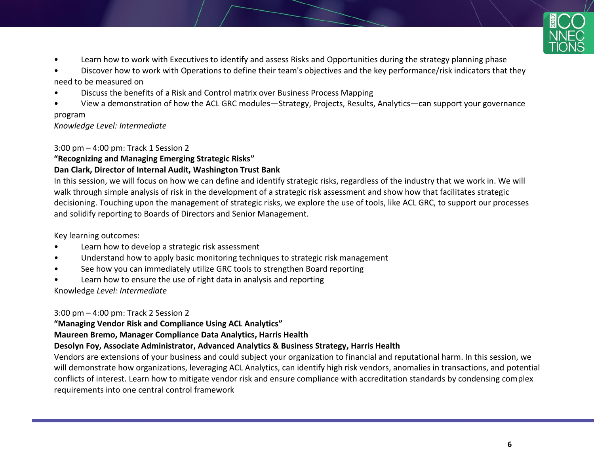

- Learn how to work with Executives to identify and assess Risks and Opportunities during the strategy planning phase
- Discover how to work with Operations to define their team's objectives and the key performance/risk indicators that they need to be measured on
- Discuss the benefits of a Risk and Control matrix over Business Process Mapping
- View a demonstration of how the ACL GRC modules—Strategy, Projects, Results, Analytics—can support your governance

#### program

*Knowledge Level: Intermediate*

#### 3:00 pm – 4:00 pm: Track 1 Session 2

**"Recognizing and Managing Emerging Strategic Risks"**

### **Dan Clark, Director of Internal Audit, Washington Trust Bank**

In this session, we will focus on how we can define and identify strategic risks, regardless of the industry that we work in. We will walk through simple analysis of risk in the development of a strategic risk assessment and show how that facilitates strategic decisioning. Touching upon the management of strategic risks, we explore the use of tools, like ACL GRC, to support our processes and solidify reporting to Boards of Directors and Senior Management.

### Key learning outcomes:

- Learn how to develop a strategic risk assessment
- Understand how to apply basic monitoring techniques to strategic risk management
- See how you can immediately utilize GRC tools to strengthen Board reporting
- Learn how to ensure the use of right data in analysis and reporting

Knowledge *Level: Intermediate*

3:00 pm – 4:00 pm: Track 2 Session 2

**"Managing Vendor Risk and Compliance Using ACL Analytics"**

**Maureen Bremo, Manager Compliance Data Analytics, Harris Health**

### **Desolyn Foy, Associate Administrator, Advanced Analytics & Business Strategy, Harris Health**

Vendors are extensions of your business and could subject your organization to financial and reputational harm. In this session, we will demonstrate how organizations, leveraging ACL Analytics, can identify high risk vendors, anomalies in transactions, and potential conflicts of interest. Learn how to mitigate vendor risk and ensure compliance with accreditation standards by condensing complex requirements into one central control framework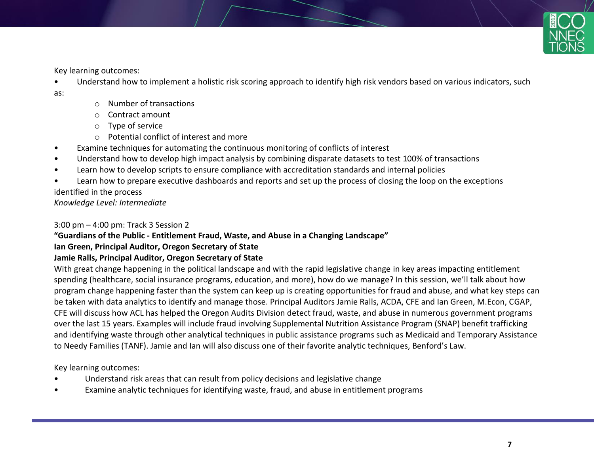

Key learning outcomes:

- Understand how to implement a holistic risk scoring approach to identify high risk vendors based on various indicators, such
- as:
- o Number of transactions
- o Contract amount
- o Type of service
- o Potential conflict of interest and more
- Examine techniques for automating the continuous monitoring of conflicts of interest
- Understand how to develop high impact analysis by combining disparate datasets to test 100% of transactions
- Learn how to develop scripts to ensure compliance with accreditation standards and internal policies
- Learn how to prepare executive dashboards and reports and set up the process of closing the loop on the exceptions

identified in the process

*Knowledge Level: Intermediate*

3:00 pm – 4:00 pm: Track 3 Session 2

#### **"Guardians of the Public - Entitlement Fraud, Waste, and Abuse in a Changing Landscape"**

### **Ian Green, Principal Auditor, Oregon Secretary of State**

### **Jamie Ralls, Principal Auditor, Oregon Secretary of State**

With great change happening in the political landscape and with the rapid legislative change in key areas impacting entitlement spending (healthcare, social insurance programs, education, and more), how do we manage? In this session, we'll talk about how program change happening faster than the system can keep up is creating opportunities for fraud and abuse, and what key steps can be taken with data analytics to identify and manage those. Principal Auditors Jamie Ralls, ACDA, CFE and Ian Green, M.Econ, CGAP, CFE will discuss how ACL has helped the Oregon Audits Division detect fraud, waste, and abuse in numerous government programs over the last 15 years. Examples will include fraud involving Supplemental Nutrition Assistance Program (SNAP) benefit trafficking and identifying waste through other analytical techniques in public assistance programs such as Medicaid and Temporary Assistance to Needy Families (TANF). Jamie and Ian will also discuss one of their favorite analytic techniques, Benford's Law.

Key learning outcomes:

- Understand risk areas that can result from policy decisions and legislative change
- Examine analytic techniques for identifying waste, fraud, and abuse in entitlement programs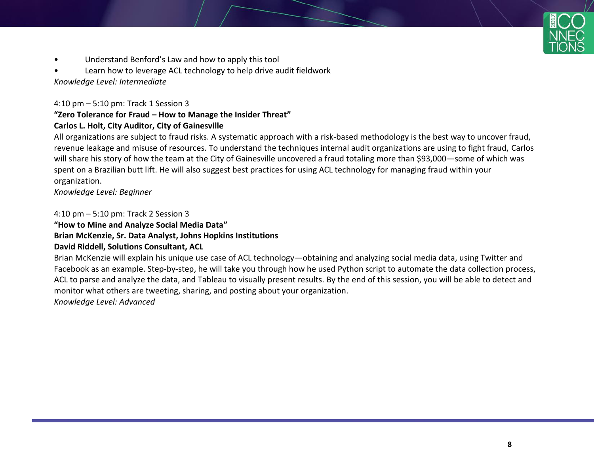- Understand Benford's Law and how to apply this tool
- Learn how to leverage ACL technology to help drive audit fieldwork *Knowledge Level: Intermediate*

4:10 pm – 5:10 pm: Track 1 Session 3

#### **"Zero Tolerance for Fraud – How to Manage the Insider Threat" Carlos L. Holt, City Auditor, City of Gainesville**

All organizations are subject to fraud risks. A systematic approach with a risk-based methodology is the best way to uncover fraud, revenue leakage and misuse of resources. To understand the techniques internal audit organizations are using to fight fraud, Carlos will share his story of how the team at the City of Gainesville uncovered a fraud totaling more than \$93,000—some of which was spent on a Brazilian butt lift. He will also suggest best practices for using ACL technology for managing fraud within your organization.

*Knowledge Level: Beginner*

4:10 pm – 5:10 pm: Track 2 Session 3

**"How to Mine and Analyze Social Media Data"**

## **Brian McKenzie, Sr. Data Analyst, Johns Hopkins Institutions**

#### **David Riddell, Solutions Consultant, ACL**

Brian McKenzie will explain his unique use case of ACL technology—obtaining and analyzing social media data, using Twitter and Facebook as an example. Step-by-step, he will take you through how he used Python script to automate the data collection process, ACL to parse and analyze the data, and Tableau to visually present results. By the end of this session, you will be able to detect and monitor what others are tweeting, sharing, and posting about your organization.

*Knowledge Level: Advanced*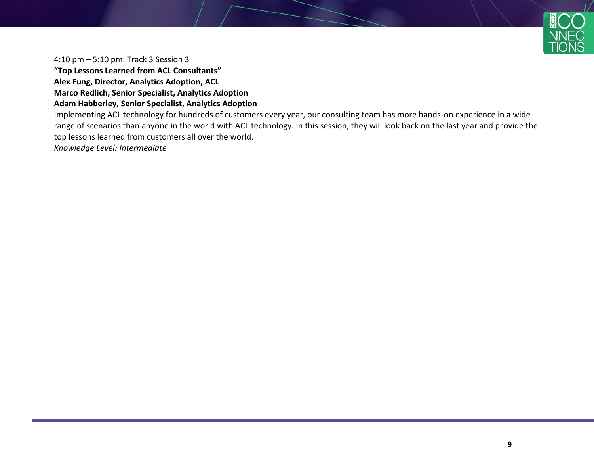

4:10 pm – 5:10 pm: Track 3 Session 3

**"Top Lessons Learned from ACL Consultants"**

**Alex Fung, Director, Analytics Adoption, ACL**

**Marco Redlich, Senior Specialist, Analytics Adoption**

**Adam Habberley, Senior Specialist, Analytics Adoption**

Implementing ACL technology for hundreds of customers every year, our consulting team has more hands-on experience in a wide range of scenarios than anyone in the world with ACL technology. In this session, they will look back on the last year and provide the top lessons learned from customers all over the world.

*Knowledge Level: Intermediate*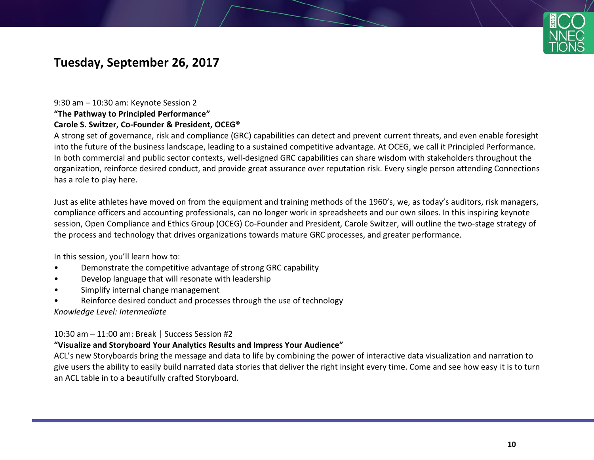

# **Tuesday, September 26, 2017**

# 9:30 am – 10:30 am: Keynote Session 2

#### **"The Pathway to Principled Performance"**

#### **Carole S. Switzer, Co-Founder & President, OCEG®**

A strong set of governance, risk and compliance (GRC) capabilities can detect and prevent current threats, and even enable foresight into the future of the business landscape, leading to a sustained competitive advantage. At OCEG, we call it Principled Performance. In both commercial and public sector contexts, well-designed GRC capabilities can share wisdom with stakeholders throughout the organization, reinforce desired conduct, and provide great assurance over reputation risk. Every single person attending Connections has a role to play here.

Just as elite athletes have moved on from the equipment and training methods of the 1960's, we, as today's auditors, risk managers, compliance officers and accounting professionals, can no longer work in spreadsheets and our own siloes. In this inspiring keynote session, Open Compliance and Ethics Group (OCEG) Co-Founder and President, Carole Switzer, will outline the two-stage strategy of the process and technology that drives organizations towards mature GRC processes, and greater performance.

In this session, you'll learn how to:

- Demonstrate the competitive advantage of strong GRC capability
- Develop language that will resonate with leadership
- Simplify internal change management
- Reinforce desired conduct and processes through the use of technology

*Knowledge Level: Intermediate*

10:30 am – 11:00 am: Break | Success Session #2

#### **"Visualize and Storyboard Your Analytics Results and Impress Your Audience"**

ACL's new Storyboards bring the message and data to life by combining the power of interactive data visualization and narration to give users the ability to easily build narrated data stories that deliver the right insight every time. Come and see how easy it is to turn an ACL table in to a beautifully crafted Storyboard.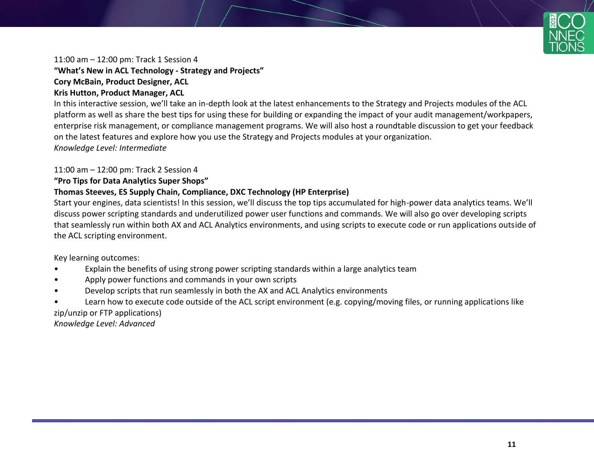

11:00 am – 12:00 pm: Track 1 Session 4

**"What's New in ACL Technology - Strategy and Projects" Cory McBain, Product Designer, ACL**

### **Kris Hutton, Product Manager, ACL**

In this interactive session, we'll take an in-depth look at the latest enhancements to the Strategy and Projects modules of the ACL platform as well as share the best tips for using these for building or expanding the impact of your audit management/workpapers, enterprise risk management, or compliance management programs. We will also host a roundtable discussion to get your feedback on the latest features and explore how you use the Strategy and Projects modules at your organization. *Knowledge Level: Intermediate*

#### 11:00 am – 12:00 pm: Track 2 Session 4

#### **"Pro Tips for Data Analytics Super Shops"**

#### **Thomas Steeves, ES Supply Chain, Compliance, DXC Technology (HP Enterprise)**

Start your engines, data scientists! In this session, we'll discuss the top tips accumulated for high-power data analytics teams. We'll discuss power scripting standards and underutilized power user functions and commands. We will also go over developing scripts that seamlessly run within both AX and ACL Analytics environments, and using scripts to execute code or run applications outside of the ACL scripting environment.

Key learning outcomes:

- Explain the benefits of using strong power scripting standards within a large analytics team
- Apply power functions and commands in your own scripts
- Develop scripts that run seamlessly in both the AX and ACL Analytics environments
- Learn how to execute code outside of the ACL script environment (e.g. copying/moving files, or running applications like zip/unzip or FTP applications)

*Knowledge Level: Advanced*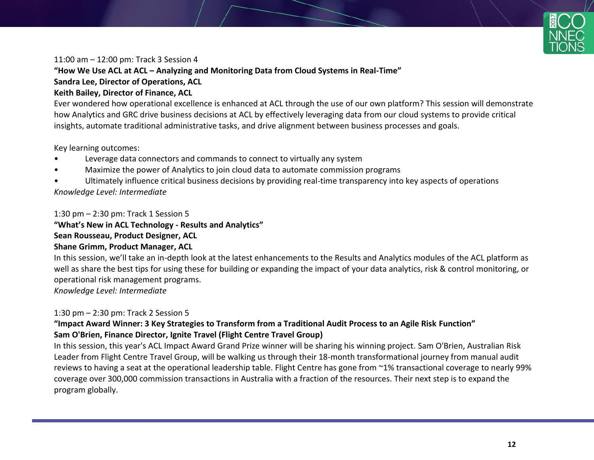

#### 11:00 am – 12:00 pm: Track 3 Session 4

**"How We Use ACL at ACL – Analyzing and Monitoring Data from Cloud Systems in Real-Time"**

# **Sandra Lee, Director of Operations, ACL**

#### **Keith Bailey, Director of Finance, ACL**

Ever wondered how operational excellence is enhanced at ACL through the use of our own platform? This session will demonstrate how Analytics and GRC drive business decisions at ACL by effectively leveraging data from our cloud systems to provide critical insights, automate traditional administrative tasks, and drive alignment between business processes and goals.

Key learning outcomes:

- Leverage data connectors and commands to connect to virtually any system
- Maximize the power of Analytics to join cloud data to automate commission programs
- Ultimately influence critical business decisions by providing real-time transparency into key aspects of operations *Knowledge Level: Intermediate*

#### 1:30 pm – 2:30 pm: Track 1 Session 5

# **"What's New in ACL Technology - Results and Analytics" Sean Rousseau, Product Designer, ACL**

#### **Shane Grimm, Product Manager, ACL**

In this session, we'll take an in-depth look at the latest enhancements to the Results and Analytics modules of the ACL platform as well as share the best tips for using these for building or expanding the impact of your data analytics, risk & control monitoring, or operational risk management programs.

*Knowledge Level: Intermediate*

#### 1:30 pm – 2:30 pm: Track 2 Session 5

#### **"Impact Award Winner: 3 Key Strategies to Transform from a Traditional Audit Process to an Agile Risk Function" Sam O'Brien, Finance Director, Ignite Travel (Flight Centre Travel Group)**

In this session, this year's ACL Impact Award Grand Prize winner will be sharing his winning project. Sam O'Brien, Australian Risk Leader from Flight Centre Travel Group, will be walking us through their 18-month transformational journey from manual audit reviews to having a seat at the operational leadership table. Flight Centre has gone from ~1% transactional coverage to nearly 99% coverage over 300,000 commission transactions in Australia with a fraction of the resources. Their next step is to expand the program globally.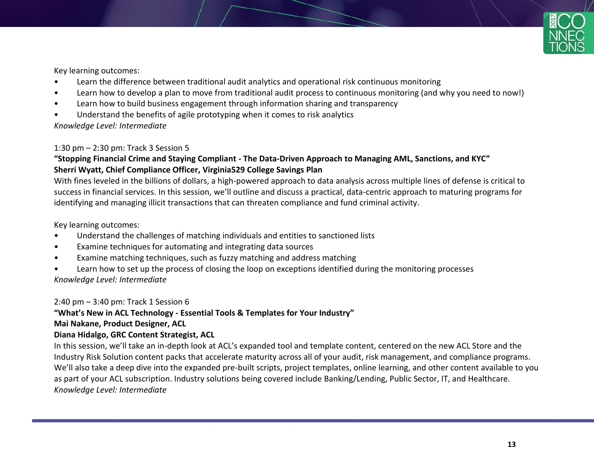

Key learning outcomes:

- Learn the difference between traditional audit analytics and operational risk continuous monitoring
- Learn how to develop a plan to move from traditional audit process to continuous monitoring (and why you need to now!)
- Learn how to build business engagement through information sharing and transparency
- Understand the benefits of agile prototyping when it comes to risk analytics

*Knowledge Level: Intermediate*

#### 1:30 pm – 2:30 pm: Track 3 Session 5

#### **"Stopping Financial Crime and Staying Compliant - The Data-Driven Approach to Managing AML, Sanctions, and KYC" Sherri Wyatt, Chief Compliance Officer, Virginia529 College Savings Plan**

With fines leveled in the billions of dollars, a high-powered approach to data analysis across multiple lines of defense is critical to success in financial services. In this session, we'll outline and discuss a practical, data-centric approach to maturing programs for identifying and managing illicit transactions that can threaten compliance and fund criminal activity.

Key learning outcomes:

- Understand the challenges of matching individuals and entities to sanctioned lists
- Examine techniques for automating and integrating data sources
- Examine matching techniques, such as fuzzy matching and address matching
- Learn how to set up the process of closing the loop on exceptions identified during the monitoring processes *Knowledge Level: Intermediate*

2:40 pm – 3:40 pm: Track 1 Session 6

### **"What's New in ACL Technology - Essential Tools & Templates for Your Industry"**

#### **Mai Nakane, Product Designer, ACL**

#### **Diana Hidalgo, GRC Content Strategist, ACL**

In this session, we'll take an in-depth look at ACL's expanded tool and template content, centered on the new ACL Store and the Industry Risk Solution content packs that accelerate maturity across all of your audit, risk management, and compliance programs. We'll also take a deep dive into the expanded pre-built scripts, project templates, online learning, and other content available to you as part of your ACL subscription. Industry solutions being covered include Banking/Lending, Public Sector, IT, and Healthcare. *Knowledge Level: Intermediate*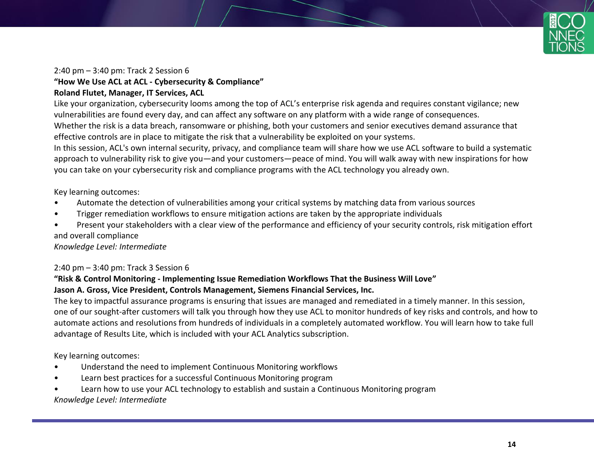

#### 2:40 pm – 3:40 pm: Track 2 Session 6

#### **"How We Use ACL at ACL - Cybersecurity & Compliance"**

#### **Roland Flutet, Manager, IT Services, ACL**

Like your organization, cybersecurity looms among the top of ACL's enterprise risk agenda and requires constant vigilance; new vulnerabilities are found every day, and can affect any software on any platform with a wide range of consequences. Whether the risk is a data breach, ransomware or phishing, both your customers and senior executives demand assurance that effective controls are in place to mitigate the risk that a vulnerability be exploited on your systems.

In this session, ACL's own internal security, privacy, and compliance team will share how we use ACL software to build a systematic approach to vulnerability risk to give you—and your customers—peace of mind. You will walk away with new inspirations for how you can take on your cybersecurity risk and compliance programs with the ACL technology you already own.

Key learning outcomes:

- Automate the detection of vulnerabilities among your critical systems by matching data from various sources
- Trigger remediation workflows to ensure mitigation actions are taken by the appropriate individuals
- Present your stakeholders with a clear view of the performance and efficiency of your security controls, risk mitigation effort and overall compliance

*Knowledge Level: Intermediate*

#### 2:40 pm – 3:40 pm: Track 3 Session 6

#### **"Risk & Control Monitoring - Implementing Issue Remediation Workflows That the Business Will Love" Jason A. Gross, Vice President, Controls Management, Siemens Financial Services, Inc.**

The key to impactful assurance programs is ensuring that issues are managed and remediated in a timely manner. In this session, one of our sought-after customers will talk you through how they use ACL to monitor hundreds of key risks and controls, and how to automate actions and resolutions from hundreds of individuals in a completely automated workflow. You will learn how to take full advantage of Results Lite, which is included with your ACL Analytics subscription.

Key learning outcomes:

- Understand the need to implement Continuous Monitoring workflows
- Learn best practices for a successful Continuous Monitoring program
- Learn how to use your ACL technology to establish and sustain a Continuous Monitoring program *Knowledge Level: Intermediate*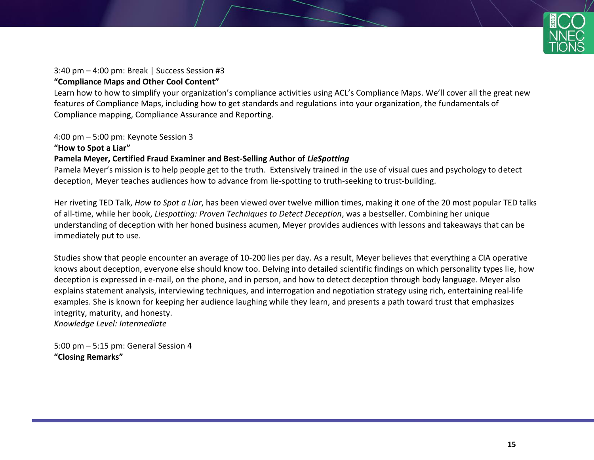

#### 3:40 pm – 4:00 pm: Break | Success Session #3 **"Compliance Maps and Other Cool Content"**

Learn how to how to simplify your organization's compliance activities using ACL's Compliance Maps. We'll cover all the great new features of Compliance Maps, including how to get standards and regulations into your organization, the fundamentals of Compliance mapping, Compliance Assurance and Reporting.

4:00 pm – 5:00 pm: Keynote Session 3

#### **"How to Spot a Liar" Pamela Meyer, Certified Fraud Examiner and Best-Selling Author of** *LieSpotting*

Pamela Meyer's mission is to help people get to the truth. Extensively trained in the use of visual cues and psychology to detect deception, Meyer teaches audiences how to advance from lie-spotting to truth-seeking to trust-building.

Her riveting TED Talk, *How to Spot a Liar*, has been viewed over twelve million times, making it one of the 20 most popular TED talks of all-time, while her book, *Liespotting: Proven Techniques to Detect Deception*, was a bestseller. Combining her unique understanding of deception with her honed business acumen, Meyer provides audiences with lessons and takeaways that can be immediately put to use.

Studies show that people encounter an average of 10-200 lies per day. As a result, Meyer believes that everything a CIA operative knows about deception, everyone else should know too. Delving into detailed scientific findings on which personality types lie, how deception is expressed in e-mail, on the phone, and in person, and how to detect deception through body language. Meyer also explains statement analysis, interviewing techniques, and interrogation and negotiation strategy using rich, entertaining real-life examples. She is known for keeping her audience laughing while they learn, and presents a path toward trust that emphasizes integrity, maturity, and honesty. *Knowledge Level: Intermediate*

5:00 pm – 5:15 pm: General Session 4 **"Closing Remarks"**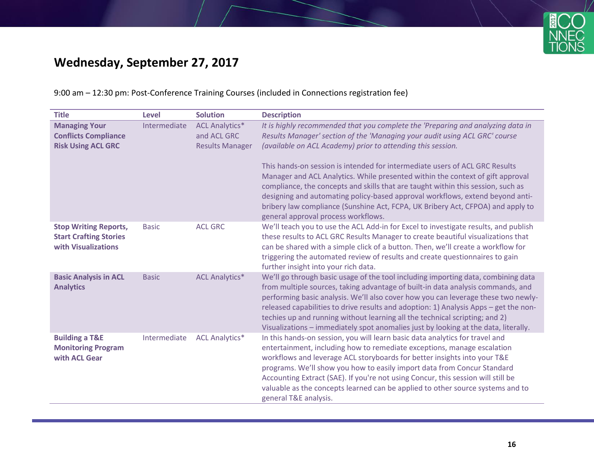

# **Wednesday, September 27, 2017**

### 9:00 am – 12:30 pm: Post-Conference Training Courses (included in Connections registration fee)

| <b>Title</b>                                                                         | <b>Level</b> | <b>Solution</b>                                                | <b>Description</b>                                                                                                                                                                                                                                                                                                                                                                                                                                                                                                                                                                                                                                                                           |
|--------------------------------------------------------------------------------------|--------------|----------------------------------------------------------------|----------------------------------------------------------------------------------------------------------------------------------------------------------------------------------------------------------------------------------------------------------------------------------------------------------------------------------------------------------------------------------------------------------------------------------------------------------------------------------------------------------------------------------------------------------------------------------------------------------------------------------------------------------------------------------------------|
| <b>Managing Your</b><br><b>Conflicts Compliance</b><br><b>Risk Using ACL GRC</b>     | Intermediate | <b>ACL Analytics*</b><br>and ACL GRC<br><b>Results Manager</b> | It is highly recommended that you complete the 'Preparing and analyzing data in<br>Results Manager' section of the 'Managing your audit using ACL GRC' course<br>(available on ACL Academy) prior to attending this session.<br>This hands-on session is intended for intermediate users of ACL GRC Results<br>Manager and ACL Analytics. While presented within the context of gift approval<br>compliance, the concepts and skills that are taught within this session, such as<br>designing and automating policy-based approval workflows, extend beyond anti-<br>bribery law compliance (Sunshine Act, FCPA, UK Bribery Act, CFPOA) and apply to<br>general approval process workflows. |
| <b>Stop Writing Reports,</b><br><b>Start Crafting Stories</b><br>with Visualizations | <b>Basic</b> | <b>ACL GRC</b>                                                 | We'll teach you to use the ACL Add-in for Excel to investigate results, and publish<br>these results to ACL GRC Results Manager to create beautiful visualizations that<br>can be shared with a simple click of a button. Then, we'll create a workflow for<br>triggering the automated review of results and create questionnaires to gain<br>further insight into your rich data.                                                                                                                                                                                                                                                                                                          |
| <b>Basic Analysis in ACL</b><br><b>Analytics</b>                                     | <b>Basic</b> | <b>ACL Analytics*</b>                                          | We'll go through basic usage of the tool including importing data, combining data<br>from multiple sources, taking advantage of built-in data analysis commands, and<br>performing basic analysis. We'll also cover how you can leverage these two newly-<br>released capabilities to drive results and adoption: 1) Analysis Apps – get the non-<br>techies up and running without learning all the technical scripting; and 2)<br>Visualizations - immediately spot anomalies just by looking at the data, literally.                                                                                                                                                                      |
| <b>Building a T&amp;E</b><br><b>Monitoring Program</b><br>with ACL Gear              | Intermediate | <b>ACL Analytics*</b>                                          | In this hands-on session, you will learn basic data analytics for travel and<br>entertainment, including how to remediate exceptions, manage escalation<br>workflows and leverage ACL storyboards for better insights into your T&E<br>programs. We'll show you how to easily import data from Concur Standard<br>Accounting Extract (SAE). If you're not using Concur, this session will still be<br>valuable as the concepts learned can be applied to other source systems and to<br>general T&E analysis.                                                                                                                                                                                |